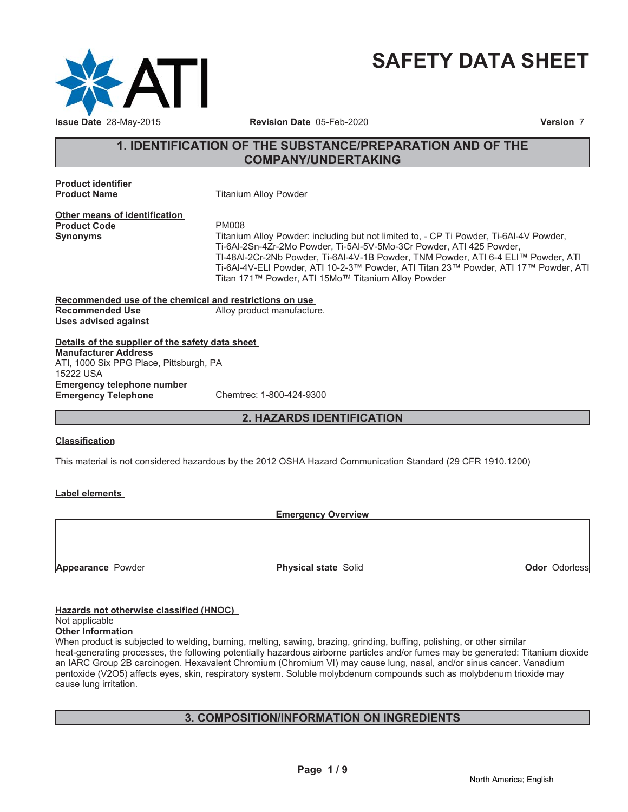

# **SAFETY DATA SHEET**

# **1. IDENTIFICATION OF THE SUBSTANCE/PREPARATION AND OF THE COMPANY/UNDERTAKING**

**Product identifier Product Name** Titanium Alloy Powder

**Other means of identification** Product Code PM008

**Synonyms** Titanium Alloy Powder: including but not limited to, - CP Ti Powder, Ti-6Al-4V Powder, Ti-6Al-2Sn-4Zr-2Mo Powder, Ti-5Al-5V-5Mo-3Cr Powder, ATI 425 Powder, TI-48AI-2Cr-2Nb Powder, Ti-6AI-4V-1B Powder, TNM Powder, ATI 6-4 ELITM Powder, ATI Ti-6Al-4V-ELI Powder, ATI 10-2-3™ Powder, ATI Titan 23™ Powder, ATI 17™ Powder, ATI Titan 171™ Powder, ATI 15Mo™ Titanium Alloy Powder

**Recommended use of the chemical and restrictions on use Recommended Use** Alloy product manufacture. **Uses advised against**

### **Details of the supplier of the safety data sheet Emergency telephone number Emergency Telephone** Chemtrec: 1-800-424-9300 **Manufacturer Address** ATI, 1000 Six PPG Place, Pittsburgh, PA 15222 USA

**2. HAZARDS IDENTIFICATION**

# **Classification**

This material is not considered hazardous by the 2012 OSHA Hazard Communication Standard (29 CFR 1910.1200)

# **Label elements**

**Emergency Overview**

**Appearance** Powder **Physical state** Solid **Physical state** Solid **Odor** Odorless

# **Hazards not otherwise classified (HNOC)**

### Not applicable **Other Information**

When product is subjected to welding, burning, melting, sawing, brazing, grinding, buffing, polishing, or other similar heat-generating processes, the following potentially hazardous airborne particles and/or fumes may be generated: Titanium dioxide an IARC Group 2B carcinogen. Hexavalent Chromium (Chromium VI) may cause lung, nasal, and/or sinus cancer. Vanadium pentoxide (V2O5) affects eyes, skin, respiratory system. Soluble molybdenum compounds such as molybdenum trioxide may cause lung irritation.

# **3. COMPOSITION/INFORMATION ON INGREDIENTS**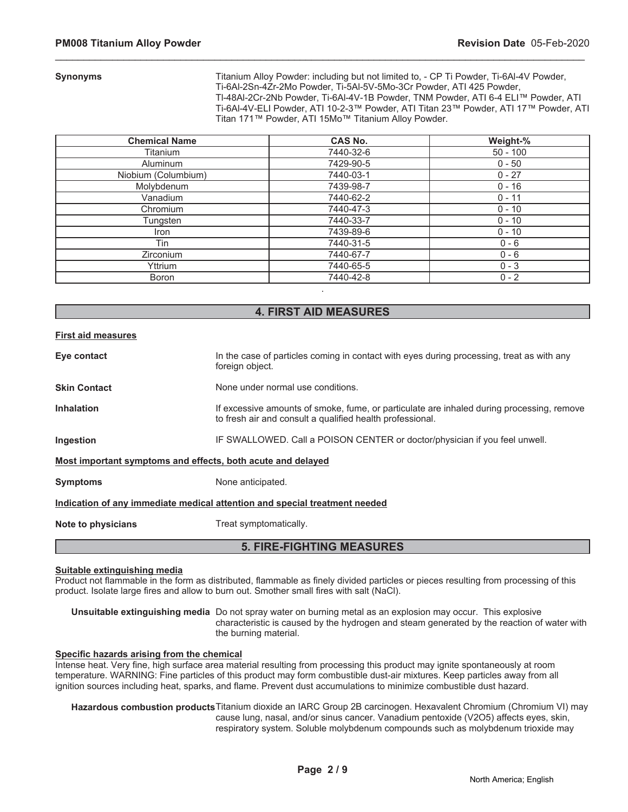**Synonyms** Titanium Alloy Powder: including but not limited to, - CP Ti Powder, Ti-6Al-4V Powder, Ti-6Al-2Sn-4Zr-2Mo Powder, Ti-5Al-5V-5Mo-3Cr Powder, ATI 425 Powder, TI-48AI-2Cr-2Nb Powder, Ti-6AI-4V-1B Powder, TNM Powder, ATI 6-4 ELITM Powder, ATI Ti-6Al-4V-ELI Powder, ATI 10-2-3™ Powder, ATI Titan 23™ Powder, ATI 17™ Powder, ATI Titan 171™ Powder, ATI 15Mo™ Titanium Alloy Powder.

| <b>Chemical Name</b> | CAS No.   | Weight-%   |
|----------------------|-----------|------------|
| Titanium             | 7440-32-6 | $50 - 100$ |
| <b>Aluminum</b>      | 7429-90-5 | $0 - 50$   |
| Niobium (Columbium)  | 7440-03-1 | $0 - 27$   |
| Molybdenum           | 7439-98-7 | $0 - 16$   |
| Vanadium             | 7440-62-2 | $0 - 11$   |
| Chromium             | 7440-47-3 | $0 - 10$   |
| Tungsten             | 7440-33-7 | $0 - 10$   |
| Iron                 | 7439-89-6 | $0 - 10$   |
| Tin                  | 7440-31-5 | $0 - 6$    |
| <b>Zirconium</b>     | 7440-67-7 | $0 - 6$    |
| Yttrium              | 7440-65-5 | $0 - 3$    |
| <b>Boron</b>         | 7440-42-8 | $0 - 2$    |

\_\_\_\_\_\_\_\_\_\_\_\_\_\_\_\_\_\_\_\_\_\_\_\_\_\_\_\_\_\_\_\_\_\_\_\_\_\_\_\_\_\_\_\_\_\_\_\_\_\_\_\_\_\_\_\_\_\_\_\_\_\_\_\_\_\_\_\_\_\_\_\_\_\_\_\_\_\_\_\_\_\_\_\_\_\_\_\_\_\_\_\_\_

# **4. FIRST AID MEASURES**

.

### **First aid measures**

| Eye contact                                                                | In the case of particles coming in contact with eyes during processing, treat as with any<br>foreign object.                                           |  |
|----------------------------------------------------------------------------|--------------------------------------------------------------------------------------------------------------------------------------------------------|--|
| <b>Skin Contact</b>                                                        | None under normal use conditions.                                                                                                                      |  |
| <b>Inhalation</b>                                                          | If excessive amounts of smoke, fume, or particulate are inhaled during processing, remove<br>to fresh air and consult a qualified health professional. |  |
| Ingestion                                                                  | IF SWALLOWED. Call a POISON CENTER or doctor/physician if you feel unwell.                                                                             |  |
| Most important symptoms and effects, both acute and delayed                |                                                                                                                                                        |  |
| <b>Symptoms</b>                                                            | None anticipated.                                                                                                                                      |  |
| Indication of any immediate medical attention and special treatment needed |                                                                                                                                                        |  |
| Note to physicians                                                         | Treat symptomatically.                                                                                                                                 |  |

# **5. FIRE-FIGHTING MEASURES**

### **Suitable extinguishing media**

Product not flammable in the form as distributed, flammable as finely divided particles or pieces resulting from processing of this product. Isolate large fires and allow to burn out. Smother small fires with salt (NaCl).

**Unsuitable extinguishing media** Do not spray water on burning metal as an explosion may occur. This explosive characteristic is caused by the hydrogen and steam generated by the reaction of water with the burning material.

### **Specific hazards arising from the chemical**

Intense heat. Very fine, high surface area material resulting from processing this product may ignite spontaneously at room temperature. WARNING: Fine particles of this product may form combustible dust-air mixtures. Keep particles away from all ignition sources including heat, sparks, and flame. Prevent dust accumulations to minimize combustible dust hazard.

**Hazardous combustion products**Titanium dioxide an IARC Group 2B carcinogen. Hexavalent Chromium (Chromium VI) may cause lung, nasal, and/or sinus cancer. Vanadium pentoxide (V2O5) affects eyes, skin, respiratory system. Soluble molybdenum compounds such as molybdenum trioxide may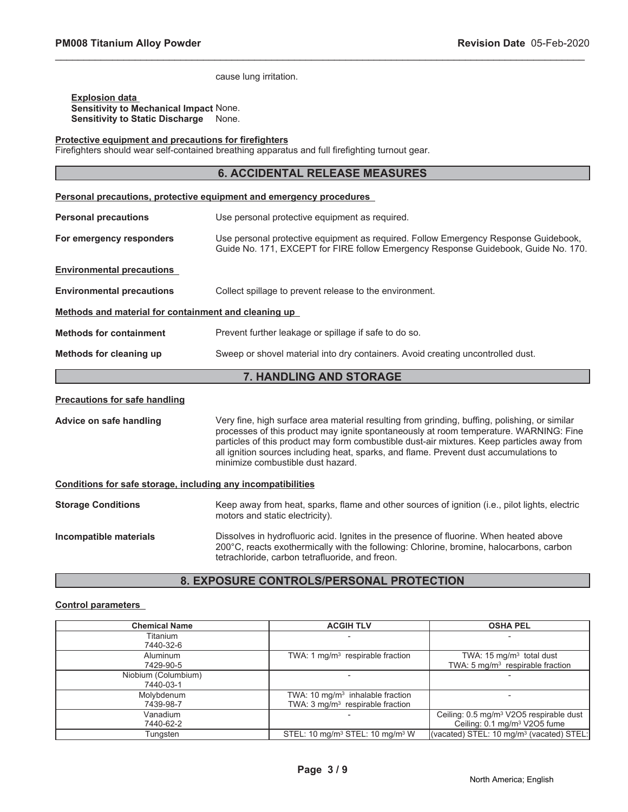cause lung irritation.

**Explosion data Sensitivity to Mechanical Impact** None. **Sensitivity to Static Discharge** None.

### **Protective equipment and precautions for firefighters**

Firefighters should wear self-contained breathing apparatus and full firefighting turnout gear.

# **6. ACCIDENTAL RELEASE MEASURES**

\_\_\_\_\_\_\_\_\_\_\_\_\_\_\_\_\_\_\_\_\_\_\_\_\_\_\_\_\_\_\_\_\_\_\_\_\_\_\_\_\_\_\_\_\_\_\_\_\_\_\_\_\_\_\_\_\_\_\_\_\_\_\_\_\_\_\_\_\_\_\_\_\_\_\_\_\_\_\_\_\_\_\_\_\_\_\_\_\_\_\_\_\_

| <b>Personal precautions, protective equipment and emergency procedures</b> |                                                                                                                                                                           |  |  |
|----------------------------------------------------------------------------|---------------------------------------------------------------------------------------------------------------------------------------------------------------------------|--|--|
| <b>Personal precautions</b>                                                | Use personal protective equipment as required.                                                                                                                            |  |  |
| For emergency responders                                                   | Use personal protective equipment as required. Follow Emergency Response Guidebook,<br>Guide No. 171, EXCEPT for FIRE follow Emergency Response Guidebook, Guide No. 170. |  |  |
| <b>Environmental precautions</b>                                           |                                                                                                                                                                           |  |  |
| <b>Environmental precautions</b>                                           | Collect spillage to prevent release to the environment.                                                                                                                   |  |  |
| Methods and material for containment and cleaning up                       |                                                                                                                                                                           |  |  |
| <b>Methods for containment</b>                                             | Prevent further leakage or spillage if safe to do so.                                                                                                                     |  |  |
| Methods for cleaning up                                                    | Sweep or shovel material into dry containers. Avoid creating uncontrolled dust.                                                                                           |  |  |
| 7. HANDLING AND STORAGE                                                    |                                                                                                                                                                           |  |  |
| <b>Precautions for safe handling</b>                                       |                                                                                                                                                                           |  |  |

**Advice on safe handling** Very fine, high surface area material resulting from grinding, buffing, polishing, or similar processes of this product may ignite spontaneously at room temperature. WARNING: Fine particles of this product may form combustible dust-air mixtures. Keep particles away from all ignition sources including heat, sparks, and flame. Prevent dust accumulations to minimize combustible dust hazard.

| Conditions for safe storage, including any incompatibilities |                                                                                                                                                                                                                                      |  |  |
|--------------------------------------------------------------|--------------------------------------------------------------------------------------------------------------------------------------------------------------------------------------------------------------------------------------|--|--|
| <b>Storage Conditions</b>                                    | Keep away from heat, sparks, flame and other sources of ignition (i.e., pilot lights, electric<br>motors and static electricity).                                                                                                    |  |  |
| Incompatible materials                                       | Dissolves in hydrofluoric acid. Ignites in the presence of fluorine. When heated above<br>200°C, reacts exothermically with the following: Chlorine, bromine, halocarbons, carbon<br>tetrachloride, carbon tetrafluoride, and freon. |  |  |

# **8. EXPOSURE CONTROLS/PERSONAL PROTECTION**

### **Control parameters**

| <b>Chemical Name</b> | <b>ACGIH TLV</b>                                        | <b>OSHA PEL</b>                                      |
|----------------------|---------------------------------------------------------|------------------------------------------------------|
| Titanium             |                                                         |                                                      |
| 7440-32-6            |                                                         |                                                      |
| Aluminum             | TWA: 1 $mq/m3$ respirable fraction                      | TWA: $15 \text{ mg/m}^3$ total dust                  |
| 7429-90-5            |                                                         | TWA: $5 \text{ mg/m}^3$ respirable fraction          |
| Niobium (Columbium)  |                                                         |                                                      |
| 7440-03-1            |                                                         |                                                      |
| Molybdenum           | TWA: 10 $mg/m3$ inhalable fraction                      |                                                      |
| 7439-98-7            | TWA: $3 \text{mq/m}^3$ respirable fraction              |                                                      |
| Vanadium             |                                                         | Ceiling: 0.5 mg/m <sup>3</sup> V2O5 respirable dust  |
| 7440-62-2            |                                                         | Ceiling: 0.1 mg/m <sup>3</sup> V2O5 fume             |
| Tungsten             | STEL: 10 mg/m <sup>3</sup> STEL: 10 mg/m <sup>3</sup> W | (vacated) STEL: 10 mg/m <sup>3</sup> (vacated) STEL: |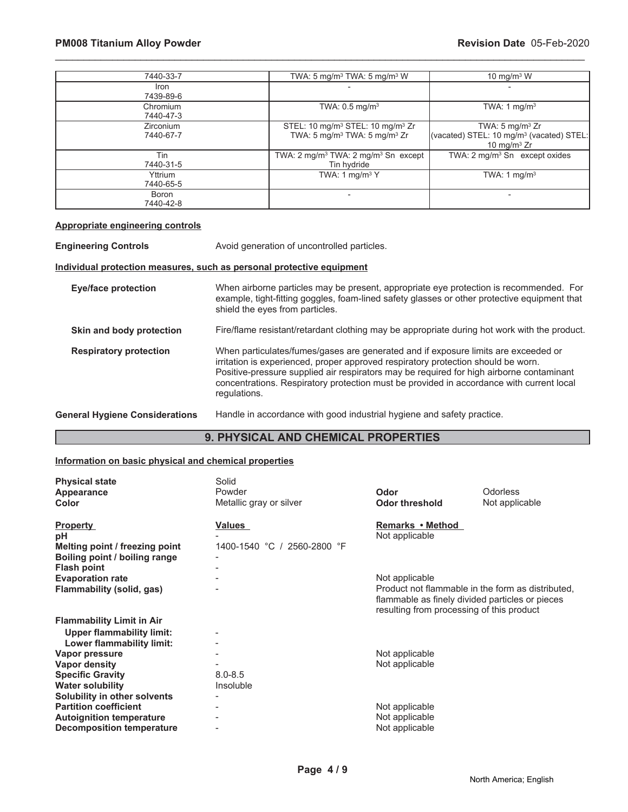# **PM008 Titanium Alloy Powder Compared 2009 12 Allows 2009 12 Allows 2009 12 Allows 2009 12 Allows 2009 12 Allows 2009 12 Allows 2009 12 Allows 2009 12 Allows 2009 12 Allows 2009 12 Allows 2009 12 Allows 2009 12 Allows 2009**

| 7440-33-7              | TWA: 5 mg/m <sup>3</sup> TWA: 5 mg/m <sup>3</sup> W                                                              | 10 mg/m $3$ W                                                                                        |
|------------------------|------------------------------------------------------------------------------------------------------------------|------------------------------------------------------------------------------------------------------|
| Iron<br>7439-89-6      |                                                                                                                  |                                                                                                      |
| Chromium<br>7440-47-3  | TWA: $0.5$ mg/m <sup>3</sup>                                                                                     | TWA: 1 mg/m <sup>3</sup>                                                                             |
| Zirconium<br>7440-67-7 | STEL: 10 mg/m <sup>3</sup> STEL: 10 mg/m <sup>3</sup> Zr<br>TWA: 5 mg/m <sup>3</sup> TWA: 5 mg/m <sup>3</sup> Zr | TWA: $5 \text{ mg/m}^3$ Zr<br>(vacated) STEL: 10 mg/m <sup>3</sup> (vacated) STEL:<br>10 mg/m $3$ Zr |
| Tin<br>7440-31-5       | TWA: $2 \text{ mg/m}^3$ TWA: $2 \text{ mg/m}^3$ Sn except<br>Tin hydride                                         | TWA: $2 \text{ mq/m}^3$ Sn except oxides                                                             |
| Yttrium<br>7440-65-5   | TWA: 1 mg/m <sup>3</sup> Y                                                                                       | TWA: 1 $mg/m3$                                                                                       |
| Boron<br>7440-42-8     |                                                                                                                  |                                                                                                      |

\_\_\_\_\_\_\_\_\_\_\_\_\_\_\_\_\_\_\_\_\_\_\_\_\_\_\_\_\_\_\_\_\_\_\_\_\_\_\_\_\_\_\_\_\_\_\_\_\_\_\_\_\_\_\_\_\_\_\_\_\_\_\_\_\_\_\_\_\_\_\_\_\_\_\_\_\_\_\_\_\_\_\_\_\_\_\_\_\_\_\_\_\_

### **Appropriate engineering controls**

**Engineering Controls** Avoid generation of uncontrolled particles.

### **Individual protection measures, such as personal protective equipment**

| <b>Eye/face protection</b>            | When airborne particles may be present, appropriate eye protection is recommended. For<br>example, tight-fitting goggles, foam-lined safety glasses or other protective equipment that<br>shield the eyes from particles.                                                                                                                                                       |
|---------------------------------------|---------------------------------------------------------------------------------------------------------------------------------------------------------------------------------------------------------------------------------------------------------------------------------------------------------------------------------------------------------------------------------|
| Skin and body protection              | Fire/flame resistant/retardant clothing may be appropriate during hot work with the product.                                                                                                                                                                                                                                                                                    |
| <b>Respiratory protection</b>         | When particulates/fumes/gases are generated and if exposure limits are exceeded or<br>irritation is experienced, proper approved respiratory protection should be worn.<br>Positive-pressure supplied air respirators may be required for high airborne contaminant<br>concentrations. Respiratory protection must be provided in accordance with current local<br>regulations. |
| <b>General Hygiene Considerations</b> | Handle in accordance with good industrial hygiene and safety practice.                                                                                                                                                                                                                                                                                                          |

# **9. PHYSICAL AND CHEMICAL PROPERTIES**

### **Information on basic physical and chemical properties**

| <b>Physical state</b><br>Appearance<br>Color                                                                                        | Solid<br>Powder<br>Metallic gray or silver | Odor<br><b>Odor threshold</b>                                                                                                                                       | <b>Odorless</b><br>Not applicable |
|-------------------------------------------------------------------------------------------------------------------------------------|--------------------------------------------|---------------------------------------------------------------------------------------------------------------------------------------------------------------------|-----------------------------------|
| <b>Property</b><br>рH<br>Melting point / freezing point<br>Boiling point / boiling range<br><b>Flash point</b>                      | Values<br>1400-1540 °C / 2560-2800 °F      | Remarks • Method<br>Not applicable                                                                                                                                  |                                   |
| <b>Evaporation rate</b><br>Flammability (solid, gas)                                                                                |                                            | Not applicable<br>Product not flammable in the form as distributed,<br>flammable as finely divided particles or pieces<br>resulting from processing of this product |                                   |
| <b>Flammability Limit in Air</b><br><b>Upper flammability limit:</b><br>Lower flammability limit:                                   |                                            |                                                                                                                                                                     |                                   |
| Vapor pressure<br><b>Vapor density</b><br><b>Specific Gravity</b><br><b>Water solubility</b>                                        | $8.0 - 8.5$<br>Insoluble                   | Not applicable<br>Not applicable                                                                                                                                    |                                   |
| Solubility in other solvents<br><b>Partition coefficient</b><br><b>Autoignition temperature</b><br><b>Decomposition temperature</b> |                                            | Not applicable<br>Not applicable<br>Not applicable                                                                                                                  |                                   |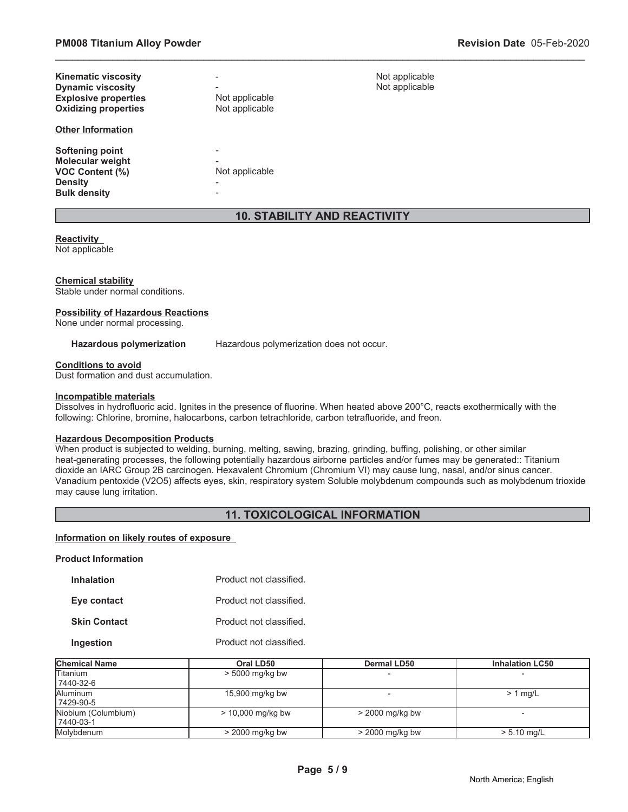| <b>Kinematic viscosity</b><br><b>Dynamic viscosity</b><br><b>Explosive properties</b><br><b>Oxidizing properties</b> | $\overline{\phantom{a}}$<br>Not applicable<br>Not applicable | Not applicable<br>Not applicable |
|----------------------------------------------------------------------------------------------------------------------|--------------------------------------------------------------|----------------------------------|
| <b>Other Information</b>                                                                                             |                                                              |                                  |
| Softening point<br><b>Molecular weight</b><br><b>VOC Content (%)</b><br><b>Density</b><br><b>Bulk density</b>        | -<br>Not applicable<br>$\overline{\phantom{a}}$              |                                  |

# **10. STABILITY AND REACTIVITY**

\_\_\_\_\_\_\_\_\_\_\_\_\_\_\_\_\_\_\_\_\_\_\_\_\_\_\_\_\_\_\_\_\_\_\_\_\_\_\_\_\_\_\_\_\_\_\_\_\_\_\_\_\_\_\_\_\_\_\_\_\_\_\_\_\_\_\_\_\_\_\_\_\_\_\_\_\_\_\_\_\_\_\_\_\_\_\_\_\_\_\_\_\_

### **Reactivity**

Not applicable

### **Chemical stability**

Stable under normal conditions.

### **Possibility of Hazardous Reactions**

None under normal processing.

**Hazardous polymerization** Hazardous polymerization does not occur.

### **Conditions to avoid**

Dust formation and dust accumulation.

### **Incompatible materials**

Dissolves in hydrofluoric acid. Ignites in the presence of fluorine. When heated above 200°C, reacts exothermically with the following: Chlorine, bromine, halocarbons, carbon tetrachloride, carbon tetrafluoride, and freon.

# **Hazardous Decomposition Products**

When product is subjected to welding, burning, melting, sawing, brazing, grinding, buffing, polishing, or other similar heat-generating processes, the following potentially hazardous airborne particles and/or fumes may be generated:: Titanium dioxide an IARC Group 2B carcinogen. Hexavalent Chromium (Chromium VI) may cause lung, nasal, and/or sinus cancer. Vanadium pentoxide (V2O5) affects eyes, skin, respiratory system Soluble molybdenum compounds such as molybdenum trioxide may cause lung irritation.

# **11. TOXICOLOGICAL INFORMATION**

### **Information on likely routes of exposure**

### **Product Information**

| <b>Inhalation</b>   | Product not classified. |
|---------------------|-------------------------|
| Eye contact         | Product not classified. |
| <b>Skin Contact</b> | Product not classified. |

**Ingestion** Product not classified.

| <b>Chemical Name</b>             | Oral LD50           | <b>Dermal LD50</b> | <b>Inhalation LC50</b> |
|----------------------------------|---------------------|--------------------|------------------------|
| <b>Titanium</b><br>7440-32-6     | $> 5000$ mg/kg bw   |                    |                        |
| Aluminum<br>7429-90-5            | 15,900 mg/kg bw     |                    | $> 1$ mg/L             |
| Niobium (Columbium)<br>7440-03-1 | $> 10,000$ mg/kg bw | $>$ 2000 mg/kg bw  |                        |
| Molvbdenum                       | $>$ 2000 mg/kg bw   | $>$ 2000 mg/kg bw  | $> 5.10$ mg/L          |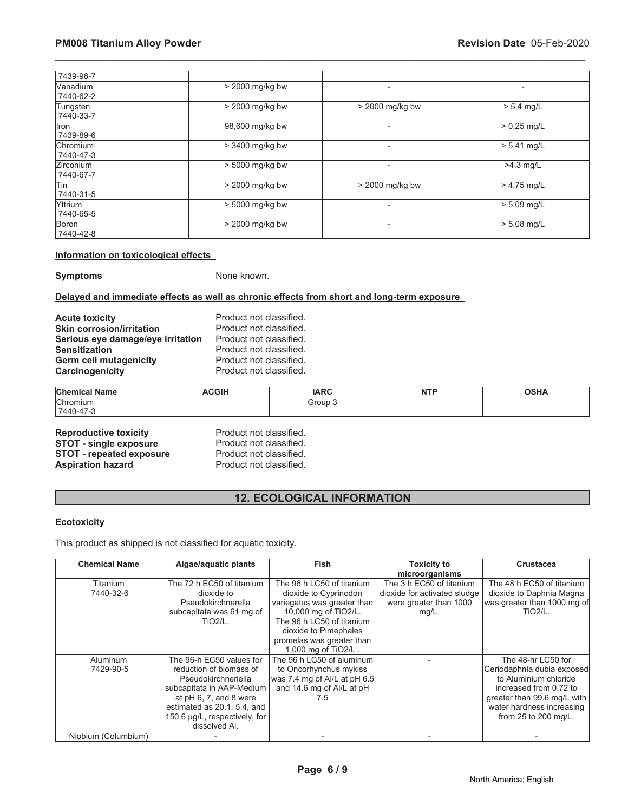| 7439-98-7                    |                   |                          |               |
|------------------------------|-------------------|--------------------------|---------------|
| <b>Nanadium</b><br>7440-62-2 | > 2000 mg/kg bw   |                          |               |
| Tungsten<br>7440-33-7        | $>$ 2000 mg/kg bw | > 2000 mg/kg bw          | $> 5.4$ mg/L  |
| llron.<br>7439-89-6          | 98,600 mg/kg bw   | $\overline{\phantom{0}}$ | $> 0.25$ mg/L |
| <b>Chromium</b><br>7440-47-3 | > 3400 mg/kg bw   | $\overline{\phantom{0}}$ | $> 5.41$ mg/L |
| Zirconium<br>7440-67-7       | > 5000 mg/kg bw   | $\overline{a}$           | $>4.3$ mg/L   |
| lTin<br>7440-31-5            | > 2000 mg/kg bw   | $>$ 2000 mg/kg bw        | $> 4.75$ mg/L |
| <b>Yttrium</b><br>7440-65-5  | $> 5000$ mg/kg bw | $\overline{\phantom{0}}$ | $> 5.09$ mg/L |
| Boron<br>7440-42-8           | $>$ 2000 mg/kg bw | $\overline{\phantom{0}}$ | $> 5.08$ mg/L |

\_\_\_\_\_\_\_\_\_\_\_\_\_\_\_\_\_\_\_\_\_\_\_\_\_\_\_\_\_\_\_\_\_\_\_\_\_\_\_\_\_\_\_\_\_\_\_\_\_\_\_\_\_\_\_\_\_\_\_\_\_\_\_\_\_\_\_\_\_\_\_\_\_\_\_\_\_\_\_\_\_\_\_\_\_\_\_\_\_\_\_\_\_

### **Information on toxicological effects**

**Symptoms** None known.

### **Delayed and immediate effects as well as chronic effects from short and long-term exposure**

| <b>Acute toxicity</b>             | Product not classified. |
|-----------------------------------|-------------------------|
| <b>Skin corrosion/irritation</b>  | Product not classified. |
| Serious eye damage/eye irritation | Product not classified. |
| <b>Sensitization</b>              | Product not classified. |
| <b>Germ cell mutagenicity</b>     | Product not classified. |
| Carcinogenicity                   | Product not classified. |

| ' Name<br><b>Chemical</b> | <b>ACGIH</b> | <b>IARC</b> | <b>NTF</b><br>. | <b>OSHA</b> |
|---------------------------|--------------|-------------|-----------------|-------------|
| $\sim$<br>Chromium<br>ິ   |              | Group 3     |                 |             |
| 7440-47-3                 |              |             |                 |             |

| <b>Reproductive toxicity</b>    |  |
|---------------------------------|--|
| <b>STOT - single exposure</b>   |  |
| <b>STOT - repeated exposure</b> |  |
| <b>Aspiration hazard</b>        |  |

**Product not classified.** Product not classified. **Product not classified. Product not classified.** 

# **12. ECOLOGICAL INFORMATION**

# **Ecotoxicity**

This product as shipped is not classified for aquatic toxicity.

| <b>Chemical Name</b> | Algae/aquatic plants          | <b>Fish</b>                  | <b>Toxicity to</b>           | <b>Crustacea</b>            |
|----------------------|-------------------------------|------------------------------|------------------------------|-----------------------------|
|                      |                               |                              | microorganisms               |                             |
| Titanium             | The 72 h EC50 of titanium     | The 96 h LC50 of titanium    | The 3 h EC50 of titanium     | The 48 h EC50 of titanium   |
| 7440-32-6            | dioxide to                    | dioxide to Cyprinodon        | dioxide for activated sludge | dioxide to Daphnia Magna    |
|                      | Pseudokirchnerella            | variegatus was greater than  | were greater than 1000       | was greater than 1000 mg of |
|                      | subcapitata was 61 mg of      | 10,000 mg of TiO2/L.         | $mg/L$ .                     | <b>TiO2/L.</b>              |
|                      | $TiO2/L$ .                    | The 96 h LC50 of titanium    |                              |                             |
|                      |                               | dioxide to Pimephales        |                              |                             |
|                      |                               | promelas was greater than    |                              |                             |
|                      |                               | 1,000 mg of TiO2/L.          |                              |                             |
| Aluminum             | The 96-h EC50 values for      | The 96 h LC50 of aluminum    |                              | The 48-hr LC50 for          |
| 7429-90-5            | reduction of biomass of       | to Oncorhynchus mykiss       |                              | Ceriodaphnia dubia exposed  |
|                      | Pseudokirchneriella           | was 7.4 mg of Al/L at pH 6.5 |                              | to Aluminium chloride       |
|                      | subcapitata in AAP-Medium     | and 14.6 mg of Al/L at pH    |                              | increased from 0.72 to      |
|                      | at pH 6, 7, and 8 were        | 7.5                          |                              | greater than 99.6 mg/L with |
|                      | estimated as 20.1, 5.4, and   |                              |                              | water hardness increasing   |
|                      | 150.6 µg/L, respectively, for |                              |                              | from 25 to 200 mg/L.        |
|                      | dissolved Al.                 |                              |                              |                             |
| Niobium (Columbium)  |                               |                              |                              |                             |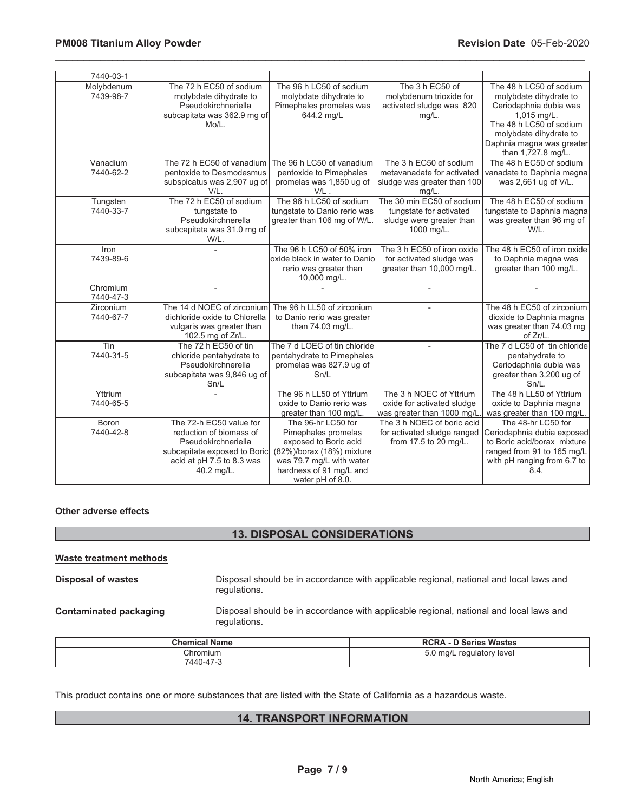| 7440-03-1               |                                                                                                                                                      |                                                                                                                                                                            |                                                                                                 |                                                                                                                                                                                                    |
|-------------------------|------------------------------------------------------------------------------------------------------------------------------------------------------|----------------------------------------------------------------------------------------------------------------------------------------------------------------------------|-------------------------------------------------------------------------------------------------|----------------------------------------------------------------------------------------------------------------------------------------------------------------------------------------------------|
| Molybdenum<br>7439-98-7 | The 72 h EC50 of sodium<br>molybdate dihydrate to<br>Pseudokirchneriella<br>subcapitata was 362.9 mg of<br>Mo/L.                                     | The 96 h LC50 of sodium<br>molybdate dihydrate to<br>Pimephales promelas was<br>644.2 mg/L                                                                                 | The 3 h EC50 of<br>molybdenum trioxide for<br>activated sludge was 820<br>$mg/L$ .              | The 48 h LC50 of sodium<br>molybdate dihydrate to<br>Ceriodaphnia dubia was<br>1,015 mg/L.<br>The 48 h LC50 of sodium<br>molybdate dihydrate to<br>Daphnia magna was greater<br>than 1,727.8 mg/L. |
| Vanadium<br>7440-62-2   | The 72 h EC50 of vanadium<br>pentoxide to Desmodesmus<br>subspicatus was 2,907 ug of<br>V/L.                                                         | The 96 h LC50 of vanadium<br>pentoxide to Pimephales<br>promelas was 1,850 ug of<br>$V/L$ .                                                                                | The 3 h EC50 of sodium<br>metavanadate for activated<br>sludge was greater than 100<br>$mg/L$ . | The 48 h EC50 of sodium<br>vanadate to Daphnia magna<br>was 2,661 ug of V/L.                                                                                                                       |
| Tungsten<br>7440-33-7   | The 72 h EC50 of sodium<br>tungstate to<br>Pseudokirchnerella<br>subcapitata was 31.0 mg of<br>W/L.                                                  | The 96 h LC50 of sodium<br>tungstate to Danio rerio was<br>greater than 106 mg of W/L.                                                                                     | The 30 min EC50 of sodium<br>tungstate for activated<br>sludge were greater than<br>1000 mg/L.  | The 48 h EC50 of sodium<br>tungstate to Daphnia magna<br>was greater than 96 mg of<br>W/L.                                                                                                         |
| Iron<br>7439-89-6       |                                                                                                                                                      | The 96 h LC50 of 50% iron<br>oxide black in water to Danio<br>rerio was greater than<br>10,000 mg/L.                                                                       | The 3 h EC50 of iron oxide<br>for activated sludge was<br>greater than 10,000 mg/L.             | The 48 h EC50 of iron oxide<br>to Daphnia magna was<br>greater than 100 mg/L.                                                                                                                      |
| Chromium<br>7440-47-3   | $\overline{a}$                                                                                                                                       |                                                                                                                                                                            |                                                                                                 |                                                                                                                                                                                                    |
| Zirconium<br>7440-67-7  | The 14 d NOEC of zirconium<br>dichloride oxide to Chlorella<br>vulgaris was greater than<br>102.5 mg of Zr/L.                                        | The 96 h LL50 of zirconium<br>to Danio rerio was greater<br>than 74.03 mg/L.                                                                                               |                                                                                                 | The 48 h EC50 of zirconium<br>dioxide to Daphnia magna<br>was greater than 74.03 mg<br>of Zr/L.                                                                                                    |
| Tin<br>7440-31-5        | The 72 h EC50 of tin<br>chloride pentahydrate to<br>Pseudokirchnerella<br>subcapitata was 9,846 ug of<br>Sn/L                                        | The 7 d LOEC of tin chloride<br>pentahydrate to Pimephales<br>promelas was 827.9 ug of<br>Sn/L                                                                             |                                                                                                 | The 7 d LC50 of tin chloride<br>pentahydrate to<br>Ceriodaphnia dubia was<br>greater than 3,200 ug of<br>Sn/L.                                                                                     |
| Yttrium<br>7440-65-5    |                                                                                                                                                      | The 96 h LL50 of Yttrium<br>oxide to Danio rerio was<br>greater than 100 mg/L.                                                                                             | The 3 h NOEC of Yttrium<br>oxide for activated sludge<br>was greater than 1000 mg/L.            | The 48 h LL50 of Yttrium<br>oxide to Daphnia magna<br>was greater than 100 mg/L.                                                                                                                   |
| Boron<br>7440-42-8      | The 72-h EC50 value for<br>reduction of biomass of<br>Pseudokirchneriella<br>subcapitata exposed to Boric<br>acid at pH 7.5 to 8.3 was<br>40.2 mg/L. | The 96-hr LC50 for<br>Pimephales promelas<br>exposed to Boric acid<br>(82%)/borax (18%) mixture<br>was 79.7 mg/L with water<br>hardness of 91 mg/L and<br>water pH of 8.0. | The 3 h NOEC of boric acid<br>for activated sludge ranged<br>from 17.5 to 20 mg/L.              | The 48-hr LC50 for<br>Ceriodaphnia dubia exposed<br>to Boric acid/borax mixture<br>ranged from 91 to 165 mg/L<br>with pH ranging from 6.7 to<br>8.4.                                               |

\_\_\_\_\_\_\_\_\_\_\_\_\_\_\_\_\_\_\_\_\_\_\_\_\_\_\_\_\_\_\_\_\_\_\_\_\_\_\_\_\_\_\_\_\_\_\_\_\_\_\_\_\_\_\_\_\_\_\_\_\_\_\_\_\_\_\_\_\_\_\_\_\_\_\_\_\_\_\_\_\_\_\_\_\_\_\_\_\_\_\_\_\_

# **Other adverse effects**

# **13. DISPOSAL CONSIDERATIONS**

| Waste treatment methods       |                      |                                                                                        |
|-------------------------------|----------------------|----------------------------------------------------------------------------------------|
| Disposal of wastes            | regulations.         | Disposal should be in accordance with applicable regional, national and local laws and |
| <b>Contaminated packaging</b> | regulations.         | Disposal should be in accordance with applicable regional, national and local laws and |
|                               | <b>Chemical Name</b> | <b>RCRA - D Series Wastes</b>                                                          |

| <b>Chemical Name</b>  | <b>RCRA - D Series Wastes</b>                |
|-----------------------|----------------------------------------------|
| Chromium<br>7440-47-3 | 5 <sup>r</sup><br>mq/L<br>. regulatory level |

This product contains one or more substances that are listed with the State of California as a hazardous waste.

# **14. TRANSPORT INFORMATION**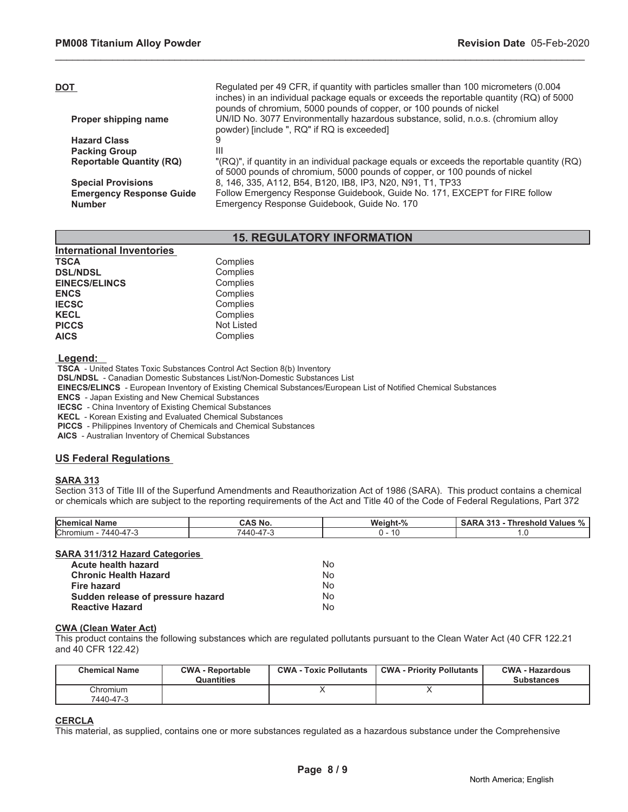| Regulated per 49 CFR, if quantity with particles smaller than 100 micrometers (0.004<br>inches) in an individual package equals or exceeds the reportable quantity (RQ) of 5000<br>pounds of chromium, 5000 pounds of copper, or 100 pounds of nickel |
|-------------------------------------------------------------------------------------------------------------------------------------------------------------------------------------------------------------------------------------------------------|
| UN/ID No. 3077 Environmentally hazardous substance, solid, n.o.s. (chromium alloy                                                                                                                                                                     |
|                                                                                                                                                                                                                                                       |
|                                                                                                                                                                                                                                                       |
| "(RQ)", if quantity in an individual package equals or exceeds the reportable quantity (RQ)<br>of 5000 pounds of chromium, 5000 pounds of copper, or 100 pounds of nickel                                                                             |
| 8, 146, 335, A112, B54, B120, IB8, IP3, N20, N91, T1, TP33                                                                                                                                                                                            |
| Follow Emergency Response Guidebook, Guide No. 171, EXCEPT for FIRE follow<br>Emergency Response Guidebook, Guide No. 170                                                                                                                             |
|                                                                                                                                                                                                                                                       |

\_\_\_\_\_\_\_\_\_\_\_\_\_\_\_\_\_\_\_\_\_\_\_\_\_\_\_\_\_\_\_\_\_\_\_\_\_\_\_\_\_\_\_\_\_\_\_\_\_\_\_\_\_\_\_\_\_\_\_\_\_\_\_\_\_\_\_\_\_\_\_\_\_\_\_\_\_\_\_\_\_\_\_\_\_\_\_\_\_\_\_\_\_

# **15. REGULATORY INFORMATION**

| <b>International Inventories</b> |                   |
|----------------------------------|-------------------|
| TSCA                             | Complies          |
| <b>DSL/NDSL</b>                  | Complies          |
| <b>EINECS/ELINCS</b>             | Complies          |
| <b>ENCS</b>                      | Complies          |
| <b>IECSC</b>                     | Complies          |
| <b>KECL</b>                      | Complies          |
| <b>PICCS</b>                     | <b>Not Listed</b> |
| <b>AICS</b>                      | Complies          |
|                                  |                   |

 **Legend:** 

 **TSCA** - United States Toxic Substances Control Act Section 8(b) Inventory

 **DSL/NDSL** - Canadian Domestic Substances List/Non-Domestic Substances List

 **EINECS/ELINCS** - European Inventory of Existing Chemical Substances/European List of Notified Chemical Substances

 **ENCS** - Japan Existing and New Chemical Substances

 **IECSC** - China Inventory of Existing Chemical Substances

 **KECL** - Korean Existing and Evaluated Chemical Substances

 **PICCS** - Philippines Inventory of Chemicals and Chemical Substances

 **AICS** - Australian Inventory of Chemical Substances

# **US Federal Regulations**

### **SARA 313**

Section 313 of Title III of the Superfund Amendments and Reauthorization Act of 1986 (SARA). This product contains a chemical or chemicals which are subject to the reporting requirements of the Act and Title 40 of the Code of Federal Regulations, Part 372

| <b>Chen</b><br><b>Name</b>                    | $\sim$ $\sim$ $\sim$ $\sim$ $\sim$<br>® NO.                   | $\sim$<br>Weight | 24 <sub>2</sub><br>--<br>aole.<br>Values<br>nresh<br>, ,,<br>70 |
|-----------------------------------------------|---------------------------------------------------------------|------------------|-----------------------------------------------------------------|
| Chromiur<br>$\overline{\phantom{a}}$<br>٬ 44۲ | $\rightarrow$<br>$\overline{\phantom{a}}$<br>$\Delta \Delta'$ | . .              | $\cdot$                                                         |

### **SARA 311/312 Hazard Categories**

| Acute health hazard               | No. |
|-----------------------------------|-----|
| <b>Chronic Health Hazard</b>      | No. |
| Fire hazard                       | No. |
| Sudden release of pressure hazard | No. |
| <b>Reactive Hazard</b>            | No. |

### **CWA (Clean Water Act)**

This product contains the following substances which are regulated pollutants pursuant to the Clean Water Act (40 CFR 122.21 and 40 CFR 122.42)

| <b>Chemical Name</b>  | <b>CWA - Reportable</b><br>Quantities | <b>CWA - Toxic Pollutants</b> | <b>CWA - Priority Pollutants</b> | CWA - Hazardous<br><b>Substances</b> |
|-----------------------|---------------------------------------|-------------------------------|----------------------------------|--------------------------------------|
| Chromium<br>7440-47-3 |                                       |                               |                                  |                                      |

# **CERCLA**

This material, as supplied, contains one or more substances regulated as a hazardous substance under the Comprehensive